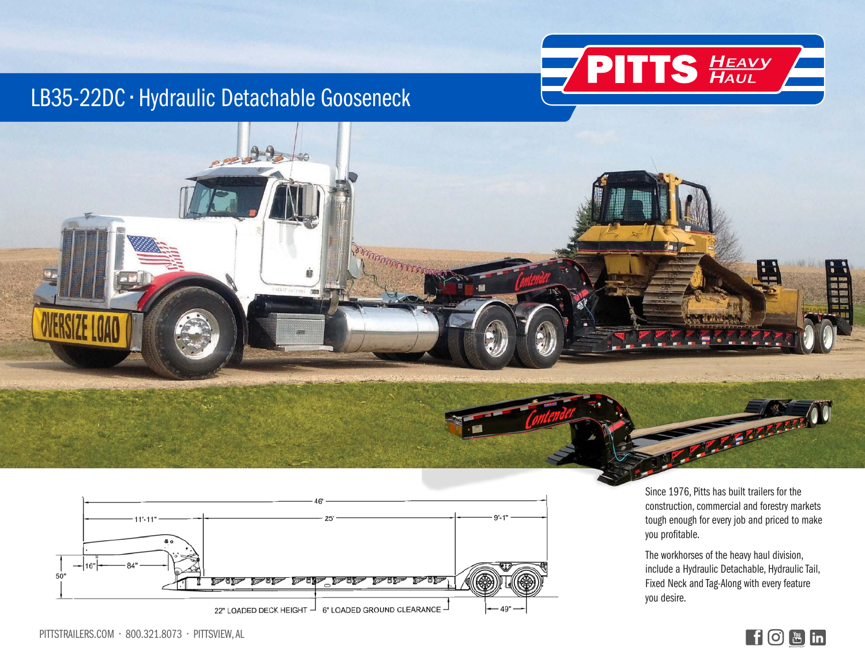

## LB35-22DC • Hydraulic Detachable Gooseneck





Since 1976, Pitts has built trailers for the construction, commercial and forestry markets tough enough for every job and priced to make you profitable.

The workhorses of the heavy haul division, include a Hydraulic Detachable, Hydraulic Tail, Fixed Neck and Tag-Along with every feature you desire.